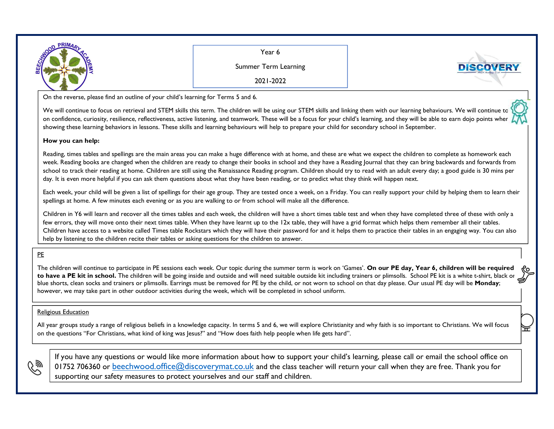

Year 6

Summer Term Learning

2021-2022

On the reverse, please find an outline of your child's learning for Terms 5 and 6.

We will continue to focus on retrieval and STEM skills this term. The children will be using our STEM skills and linking them with our learning behaviours. We will continue to on confidence, curiosity, resilience, reflectiveness, active listening, and teamwork. These will be a focus for your child's learning, and they will be able to earn dojo points when showing these learning behaviors in lessons. These skills and learning behaviours will help to prepare your child for secondary school in September.

## **How you can help:**

Reading, times tables and spellings are the main areas you can make a huge difference with at home, and these are what we expect the children to complete as homework each week. Reading books are changed when the children are ready to change their books in school and they have a Reading Journal that they can bring backwards and forwards from school to track their reading at home. Children are still using the Renaissance Reading program. Children should try to read with an adult every day; a good guide is 30 mins per day. It is even more helpful if you can ask them questions about what they have been reading, or to predict what they think will happen next.

Each week, your child will be given a list of spellings for their age group. They are tested once a week, on a Friday. You can really support your child by helping them to learn their spellings at home. A few minutes each evening or as you are walking to or from school will make all the difference.

Children in Y6 will learn and recover all the times tables and each week, the children will have a short times table test and when they have completed three of these with only a few errors, they will move onto their next times table. When they have learnt up to the 12x table, they will have a grid format which helps them remember all their tables. Children have access to a website called Times table Rockstars which they will have their password for and it helps them to practice their tables in an engaging way. You can also help by listening to the children recite their tables or asking questions for the children to answer.

## PE

The children will continue to participate in PE sessions each week. Our topic during the summer term is work on 'Games'. **On our PE day, Year 6, children will be required** to have a PE kit in school. The children will be going inside and outside and will need suitable outside kit including trainers or plimsolls. School PE kit is a white t-shirt, black or blue shorts, clean socks and trainers or plimsolls. Earrings must be removed for PE by the child, or not worn to school on that day please. Our usual PE day will be **Monday**; however, we may take part in other outdoor activities during the week, which will be completed in school uniform.

## Religious Education

All year groups study a range of religious beliefs in a knowledge capacity. In terms 5 and 6, we will explore Christianity and why faith is so important to Christians. We will focus on the questions "For Christians, what kind of king was Jesus?" and "How does faith help people when life gets hard".



If you have any questions or would like more information about how to support your child's learning, please call or email the school office on 01752 706360 or <u>beechwood.office@discoverymat.co.uk</u> and the class teacher will return your call when they are free. Thank you for supporting our safety measures to protect yourselves and our staff and children.